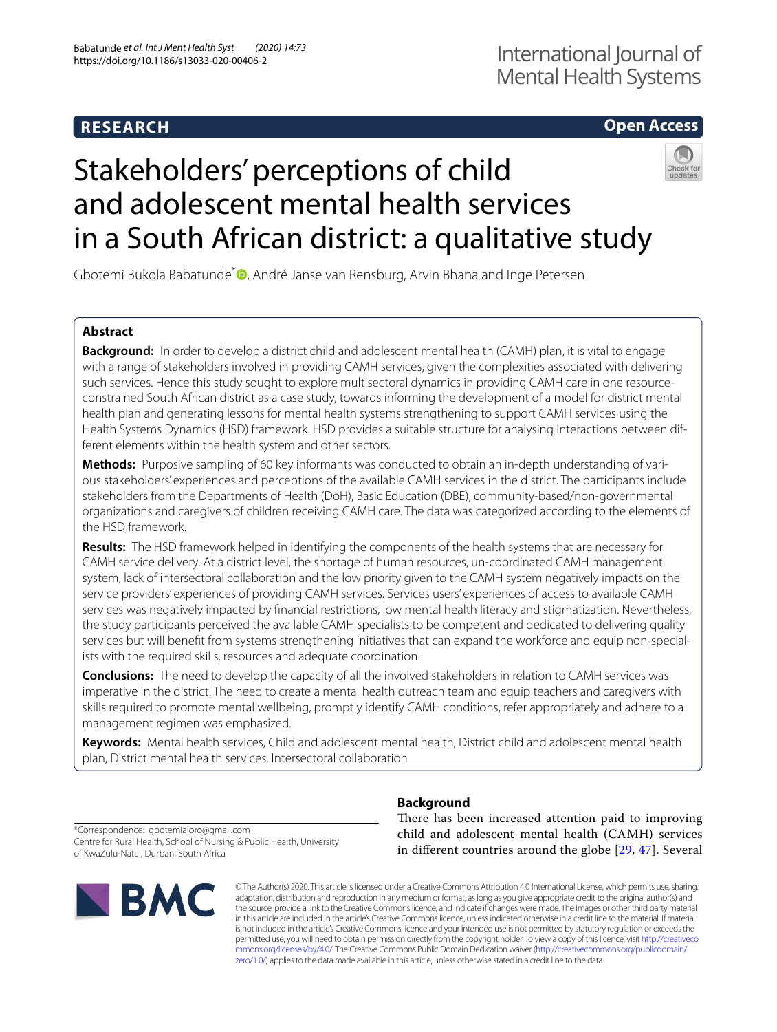# **RESEARCH**

## **Open Access**

# Stakeholders' perceptions of child and adolescent mental health services in a South African district: a qualitative study



Gbotemi Bukola Babatunde<sup>[\\*](http://orcid.org/0000-0002-9147-8637)</sup> <sup>(D</sup>, André Janse van Rensburg, Arvin Bhana and Inge Petersen

## **Abstract**

**Background:** In order to develop a district child and adolescent mental health (CAMH) plan, it is vital to engage with a range of stakeholders involved in providing CAMH services, given the complexities associated with delivering such services. Hence this study sought to explore multisectoral dynamics in providing CAMH care in one resourceconstrained South African district as a case study, towards informing the development of a model for district mental health plan and generating lessons for mental health systems strengthening to support CAMH services using the Health Systems Dynamics (HSD) framework. HSD provides a suitable structure for analysing interactions between different elements within the health system and other sectors.

**Methods:** Purposive sampling of 60 key informants was conducted to obtain an in-depth understanding of various stakeholders' experiences and perceptions of the available CAMH services in the district. The participants include stakeholders from the Departments of Health (DoH), Basic Education (DBE), community-based/non-governmental organizations and caregivers of children receiving CAMH care. The data was categorized according to the elements of the HSD framework.

**Results:** The HSD framework helped in identifying the components of the health systems that are necessary for CAMH service delivery. At a district level, the shortage of human resources, un-coordinated CAMH management system, lack of intersectoral collaboration and the low priority given to the CAMH system negatively impacts on the service providers' experiences of providing CAMH services. Services users' experiences of access to available CAMH services was negatively impacted by fnancial restrictions, low mental health literacy and stigmatization. Nevertheless, the study participants perceived the available CAMH specialists to be competent and dedicated to delivering quality services but will beneft from systems strengthening initiatives that can expand the workforce and equip non-specialists with the required skills, resources and adequate coordination.

**Conclusions:** The need to develop the capacity of all the involved stakeholders in relation to CAMH services was imperative in the district. The need to create a mental health outreach team and equip teachers and caregivers with skills required to promote mental wellbeing, promptly identify CAMH conditions, refer appropriately and adhere to a management regimen was emphasized.

**Keywords:** Mental health services, Child and adolescent mental health, District child and adolescent mental health plan, District mental health services, Intersectoral collaboration

**Background**

\*Correspondence: gbotemialoro@gmail.com Centre for Rural Health, School of Nursing & Public Health, University of KwaZulu-Natal, Durban, South Africa



There has been increased attention paid to improving child and adolescent mental health (CAMH) services in diferent countries around the globe [\[29,](#page-11-0) [47\]](#page-11-1). Several

© The Author(s) 2020. This article is licensed under a Creative Commons Attribution 4.0 International License, which permits use, sharing, adaptation, distribution and reproduction in any medium or format, as long as you give appropriate credit to the original author(s) and the source, provide a link to the Creative Commons licence, and indicate if changes were made. The images or other third party material in this article are included in the article's Creative Commons licence, unless indicated otherwise in a credit line to the material. If material is not included in the article's Creative Commons licence and your intended use is not permitted by statutory regulation or exceeds the permitted use, you will need to obtain permission directly from the copyright holder. To view a copy of this licence, visit [http://creativeco](http://creativecommons.org/licenses/by/4.0/) [mmons.org/licenses/by/4.0/.](http://creativecommons.org/licenses/by/4.0/) The Creative Commons Public Domain Dedication waiver ([http://creativecommons.org/publicdomain/](http://creativecommons.org/publicdomain/zero/1.0/) [zero/1.0/\)](http://creativecommons.org/publicdomain/zero/1.0/) applies to the data made available in this article, unless otherwise stated in a credit line to the data.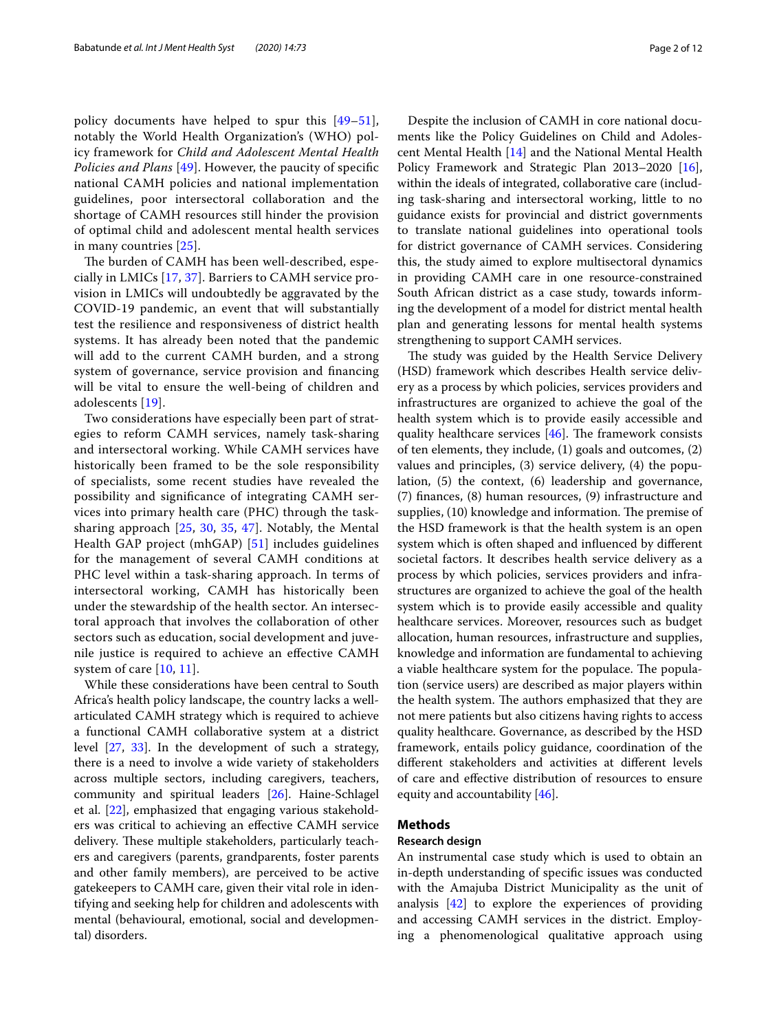policy documents have helped to spur this  $[49-51]$  $[49-51]$ , notably the World Health Organization's (WHO) policy framework for *Child and Adolescent Mental Health Policies and Plans* [\[49](#page-11-2)]. However, the paucity of specifc national CAMH policies and national implementation guidelines, poor intersectoral collaboration and the shortage of CAMH resources still hinder the provision of optimal child and adolescent mental health services in many countries [\[25](#page-11-4)].

The burden of CAMH has been well-described, especially in LMICs [[17,](#page-11-5) [37\]](#page-11-6). Barriers to CAMH service provision in LMICs will undoubtedly be aggravated by the COVID-19 pandemic, an event that will substantially test the resilience and responsiveness of district health systems. It has already been noted that the pandemic will add to the current CAMH burden, and a strong system of governance, service provision and fnancing will be vital to ensure the well-being of children and adolescents [\[19](#page-11-7)].

Two considerations have especially been part of strategies to reform CAMH services, namely task-sharing and intersectoral working. While CAMH services have historically been framed to be the sole responsibility of specialists, some recent studies have revealed the possibility and signifcance of integrating CAMH services into primary health care (PHC) through the tasksharing approach [\[25,](#page-11-4) [30,](#page-11-8) [35,](#page-11-9) [47\]](#page-11-1). Notably, the Mental Health GAP project (mhGAP) [[51\]](#page-11-3) includes guidelines for the management of several CAMH conditions at PHC level within a task-sharing approach. In terms of intersectoral working, CAMH has historically been under the stewardship of the health sector. An intersectoral approach that involves the collaboration of other sectors such as education, social development and juvenile justice is required to achieve an efective CAMH system of care [\[10](#page-11-10), [11](#page-11-11)].

While these considerations have been central to South Africa's health policy landscape, the country lacks a wellarticulated CAMH strategy which is required to achieve a functional CAMH collaborative system at a district level [\[27](#page-11-12), [33](#page-11-13)]. In the development of such a strategy, there is a need to involve a wide variety of stakeholders across multiple sectors, including caregivers, teachers, community and spiritual leaders [\[26\]](#page-11-14). Haine-Schlagel et al. [[22\]](#page-11-15), emphasized that engaging various stakeholders was critical to achieving an efective CAMH service delivery. These multiple stakeholders, particularly teachers and caregivers (parents, grandparents, foster parents and other family members), are perceived to be active gatekeepers to CAMH care, given their vital role in identifying and seeking help for children and adolescents with mental (behavioural, emotional, social and developmental) disorders.

Despite the inclusion of CAMH in core national documents like the Policy Guidelines on Child and Adolescent Mental Health [[14\]](#page-11-16) and the National Mental Health Policy Framework and Strategic Plan 2013–2020 [\[16](#page-11-17)], within the ideals of integrated, collaborative care (including task-sharing and intersectoral working, little to no guidance exists for provincial and district governments to translate national guidelines into operational tools for district governance of CAMH services. Considering this, the study aimed to explore multisectoral dynamics in providing CAMH care in one resource-constrained South African district as a case study, towards informing the development of a model for district mental health plan and generating lessons for mental health systems strengthening to support CAMH services.

The study was guided by the Health Service Delivery (HSD) framework which describes Health service delivery as a process by which policies, services providers and infrastructures are organized to achieve the goal of the health system which is to provide easily accessible and quality healthcare services  $[46]$  $[46]$ . The framework consists of ten elements, they include, (1) goals and outcomes, (2) values and principles, (3) service delivery, (4) the population, (5) the context, (6) leadership and governance, (7) fnances, (8) human resources, (9) infrastructure and supplies, (10) knowledge and information. The premise of the HSD framework is that the health system is an open system which is often shaped and infuenced by diferent societal factors. It describes health service delivery as a process by which policies, services providers and infrastructures are organized to achieve the goal of the health system which is to provide easily accessible and quality healthcare services. Moreover, resources such as budget allocation, human resources, infrastructure and supplies, knowledge and information are fundamental to achieving a viable healthcare system for the populace. The population (service users) are described as major players within the health system. The authors emphasized that they are not mere patients but also citizens having rights to access quality healthcare. Governance, as described by the HSD framework, entails policy guidance, coordination of the diferent stakeholders and activities at diferent levels of care and efective distribution of resources to ensure equity and accountability [[46\]](#page-11-18).

#### **Methods**

#### **Research design**

An instrumental case study which is used to obtain an in-depth understanding of specifc issues was conducted with the Amajuba District Municipality as the unit of analysis [\[42](#page-11-19)] to explore the experiences of providing and accessing CAMH services in the district. Employing a phenomenological qualitative approach using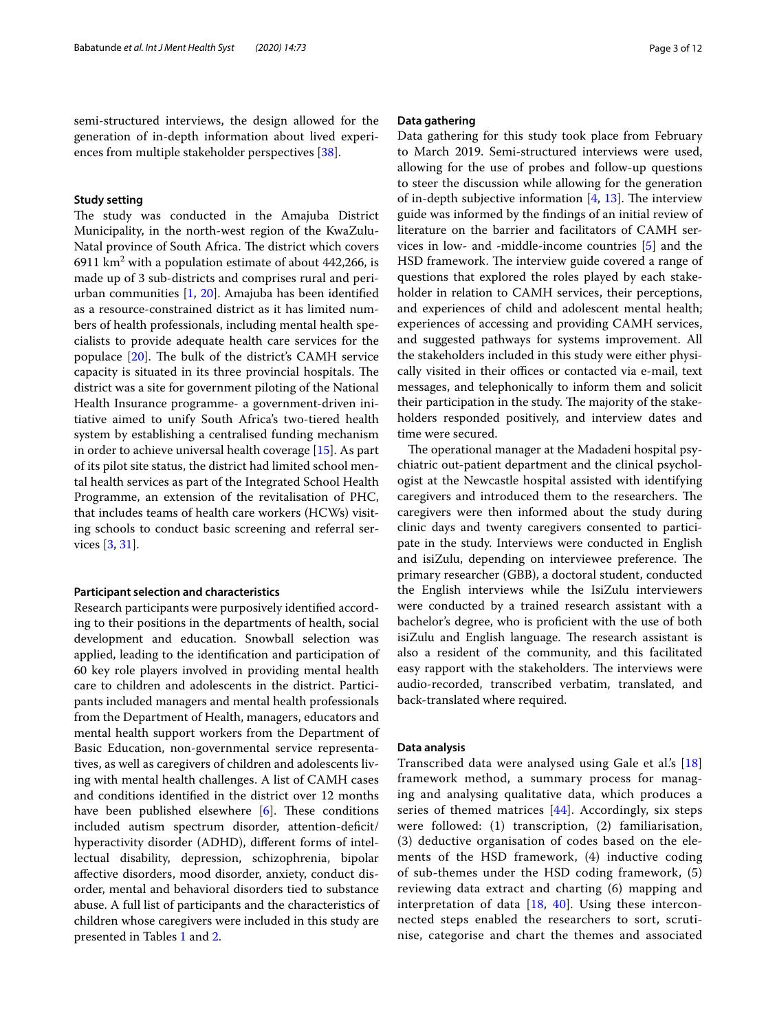semi-structured interviews, the design allowed for the generation of in-depth information about lived experiences from multiple stakeholder perspectives [\[38](#page-11-20)].

#### **Study setting**

The study was conducted in the Amajuba District Municipality, in the north-west region of the KwaZulu-Natal province of South Africa. The district which covers 6911 km<sup>2</sup> with a population estimate of about 442,266, is made up of 3 sub-districts and comprises rural and periurban communities [[1,](#page-10-0) [20\]](#page-11-21). Amajuba has been identifed as a resource-constrained district as it has limited numbers of health professionals, including mental health specialists to provide adequate health care services for the populace  $[20]$  $[20]$ . The bulk of the district's CAMH service capacity is situated in its three provincial hospitals. The district was a site for government piloting of the National Health Insurance programme- a government-driven initiative aimed to unify South Africa's two-tiered health system by establishing a centralised funding mechanism in order to achieve universal health coverage [\[15\]](#page-11-22). As part of its pilot site status, the district had limited school mental health services as part of the Integrated School Health Programme, an extension of the revitalisation of PHC, that includes teams of health care workers (HCWs) visiting schools to conduct basic screening and referral services [\[3](#page-10-1), [31](#page-11-23)].

#### **Participant selection and characteristics**

Research participants were purposively identifed according to their positions in the departments of health, social development and education. Snowball selection was applied, leading to the identifcation and participation of 60 key role players involved in providing mental health care to children and adolescents in the district. Participants included managers and mental health professionals from the Department of Health, managers, educators and mental health support workers from the Department of Basic Education, non-governmental service representatives, as well as caregivers of children and adolescents living with mental health challenges. A list of CAMH cases and conditions identifed in the district over 12 months have been published elsewhere  $[6]$  $[6]$ . These conditions included autism spectrum disorder, attention-deficit/ hyperactivity disorder (ADHD), diferent forms of intellectual disability, depression, schizophrenia, bipolar afective disorders, mood disorder, anxiety, conduct disorder, mental and behavioral disorders tied to substance abuse. A full list of participants and the characteristics of children whose caregivers were included in this study are presented in Tables [1](#page-3-0) and [2.](#page-3-1)

#### **Data gathering**

Data gathering for this study took place from February to March 2019. Semi-structured interviews were used, allowing for the use of probes and follow-up questions to steer the discussion while allowing for the generation of in-depth subjective information  $[4, 13]$  $[4, 13]$  $[4, 13]$  $[4, 13]$ . The interview guide was informed by the fndings of an initial review of literature on the barrier and facilitators of CAMH services in low- and -middle-income countries [\[5\]](#page-10-3) and the HSD framework. The interview guide covered a range of questions that explored the roles played by each stakeholder in relation to CAMH services, their perceptions, and experiences of child and adolescent mental health; experiences of accessing and providing CAMH services, and suggested pathways for systems improvement. All the stakeholders included in this study were either physically visited in their offices or contacted via e-mail, text messages, and telephonically to inform them and solicit their participation in the study. The majority of the stakeholders responded positively, and interview dates and time were secured.

The operational manager at the Madadeni hospital psychiatric out-patient department and the clinical psychologist at the Newcastle hospital assisted with identifying caregivers and introduced them to the researchers. The caregivers were then informed about the study during clinic days and twenty caregivers consented to participate in the study. Interviews were conducted in English and isiZulu, depending on interviewee preference. The primary researcher (GBB), a doctoral student, conducted the English interviews while the IsiZulu interviewers were conducted by a trained research assistant with a bachelor's degree, who is profcient with the use of both isiZulu and English language. The research assistant is also a resident of the community, and this facilitated easy rapport with the stakeholders. The interviews were audio-recorded, transcribed verbatim, translated, and back-translated where required.

#### **Data analysis**

Transcribed data were analysed using Gale et al's [\[18](#page-11-26)] framework method, a summary process for managing and analysing qualitative data, which produces a series of themed matrices [[44\]](#page-11-27). Accordingly, six steps were followed: (1) transcription, (2) familiarisation, (3) deductive organisation of codes based on the elements of the HSD framework, (4) inductive coding of sub-themes under the HSD coding framework, (5) reviewing data extract and charting (6) mapping and interpretation of data  $[18, 40]$  $[18, 40]$  $[18, 40]$  $[18, 40]$  $[18, 40]$ . Using these interconnected steps enabled the researchers to sort, scrutinise, categorise and chart the themes and associated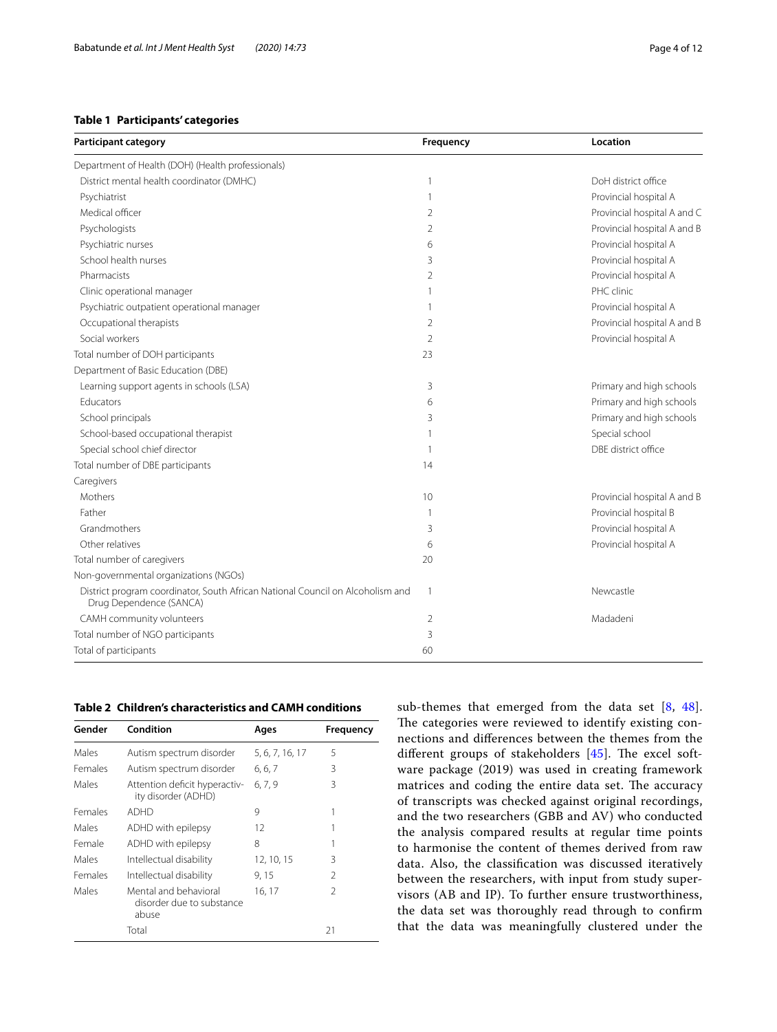## <span id="page-3-0"></span>**Table 1 Participants' categories**

| <b>Participant category</b>                                                                               | Frequency      | Location                    |
|-----------------------------------------------------------------------------------------------------------|----------------|-----------------------------|
| Department of Health (DOH) (Health professionals)                                                         |                |                             |
| District mental health coordinator (DMHC)                                                                 | 1              | DoH district office         |
| Psychiatrist                                                                                              | $\mathbf{1}$   | Provincial hospital A       |
| Medical officer                                                                                           | 2              | Provincial hospital A and C |
| Psychologists                                                                                             | 2              | Provincial hospital A and B |
| Psychiatric nurses                                                                                        | 6              | Provincial hospital A       |
| School health nurses                                                                                      | 3              | Provincial hospital A       |
| Pharmacists                                                                                               | 2              | Provincial hospital A       |
| Clinic operational manager                                                                                | 1              | PHC clinic                  |
| Psychiatric outpatient operational manager                                                                | 1              | Provincial hospital A       |
| Occupational therapists                                                                                   | 2              | Provincial hospital A and B |
| Social workers                                                                                            | $\overline{2}$ | Provincial hospital A       |
| Total number of DOH participants                                                                          | 23             |                             |
| Department of Basic Education (DBE)                                                                       |                |                             |
| Learning support agents in schools (LSA)                                                                  | 3              | Primary and high schools    |
| Educators                                                                                                 | 6              | Primary and high schools    |
| School principals                                                                                         | 3              | Primary and high schools    |
| School-based occupational therapist                                                                       | 1              | Special school              |
| Special school chief director                                                                             | 1              | DBE district office         |
| Total number of DBE participants                                                                          | 14             |                             |
| Caregivers                                                                                                |                |                             |
| Mothers                                                                                                   | 10             | Provincial hospital A and B |
| Father                                                                                                    | $\mathbf{1}$   | Provincial hospital B       |
| Grandmothers                                                                                              | 3              | Provincial hospital A       |
| Other relatives                                                                                           | 6              | Provincial hospital A       |
| Total number of caregivers                                                                                | 20             |                             |
| Non-governmental organizations (NGOs)                                                                     |                |                             |
| District program coordinator, South African National Council on Alcoholism and<br>Drug Dependence (SANCA) | $\mathbf{1}$   | Newcastle                   |
| CAMH community volunteers                                                                                 | $\overline{2}$ | Madadeni                    |
| Total number of NGO participants                                                                          | 3              |                             |
| Total of participants                                                                                     | 60             |                             |

<span id="page-3-1"></span>**Table 2 Children's characteristics and CAMH conditions**

| Gender  | Condition                                                   | Ages            | Frequency     |
|---------|-------------------------------------------------------------|-----------------|---------------|
| Males   | Autism spectrum disorder                                    | 5, 6, 7, 16, 17 | 5             |
| Females | Autism spectrum disorder                                    | 6, 6, 7         | 3             |
| Males   | Attention deficit hyperactiv-<br>ity disorder (ADHD)        | 6, 7, 9         | 3             |
| Females | <b>ADHD</b>                                                 | 9               |               |
| Males   | ADHD with epilepsy                                          | 12              |               |
| Female  | ADHD with epilepsy                                          | 8               |               |
| Males   | Intellectual disability                                     | 12, 10, 15      | 3             |
| Females | Intellectual disability                                     | 9, 15           | $\mathcal{P}$ |
| Males   | Mental and behavioral<br>disorder due to substance<br>abuse | 16, 17          | 2             |
|         | Total                                                       |                 | 21            |

sub-themes that emerged from the data set [\[8](#page-11-29), [48](#page-11-30)]. The categories were reviewed to identify existing connections and diferences between the themes from the different groups of stakeholders  $[45]$  $[45]$ . The excel software package (2019) was used in creating framework matrices and coding the entire data set. The accuracy of transcripts was checked against original recordings, and the two researchers (GBB and AV) who conducted the analysis compared results at regular time points to harmonise the content of themes derived from raw data. Also, the classifcation was discussed iteratively between the researchers, with input from study supervisors (AB and IP). To further ensure trustworthiness, the data set was thoroughly read through to confrm that the data was meaningfully clustered under the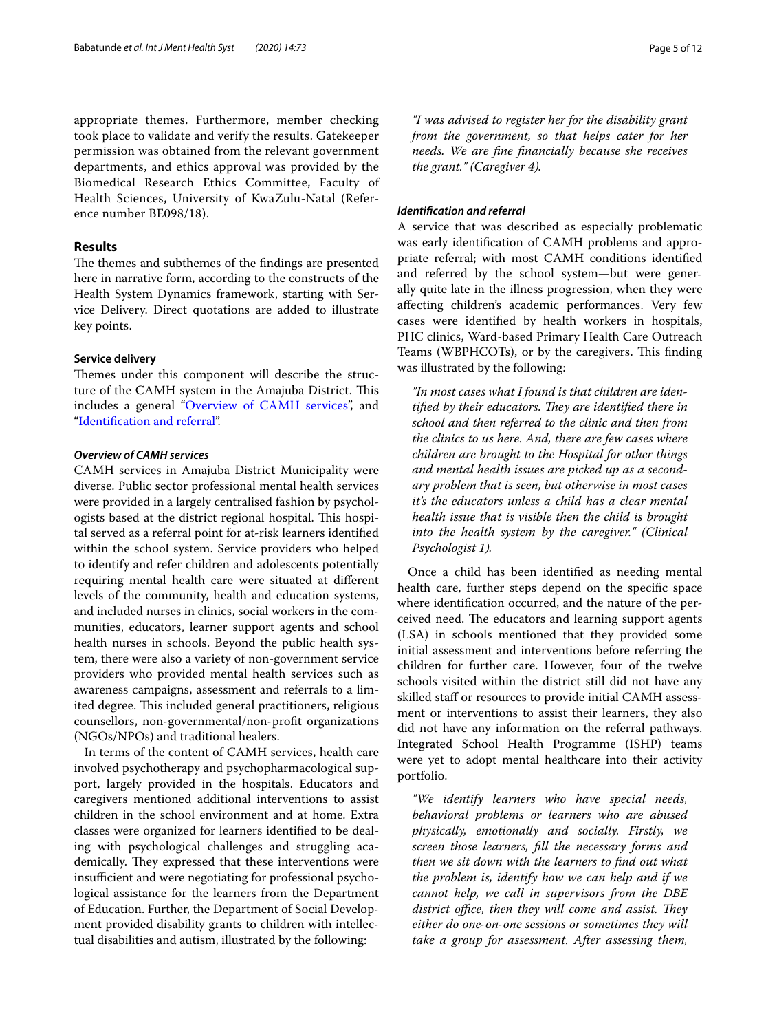appropriate themes. Furthermore, member checking took place to validate and verify the results. Gatekeeper permission was obtained from the relevant government departments, and ethics approval was provided by the Biomedical Research Ethics Committee, Faculty of Health Sciences, University of KwaZulu-Natal (Reference number BE098/18).

## **Results**

The themes and subthemes of the findings are presented here in narrative form, according to the constructs of the Health System Dynamics framework, starting with Service Delivery. Direct quotations are added to illustrate key points.

#### **Service delivery**

Themes under this component will describe the structure of the CAMH system in the Amajuba District. This includes a general ["Overview of CAMH services"](#page-4-0), and ["Identifcation and referral](#page-5-0)".

## *Overview of CAMH services*

CAMH services in Amajuba District Municipality were diverse. Public sector professional mental health services were provided in a largely centralised fashion by psychologists based at the district regional hospital. This hospital served as a referral point for at-risk learners identifed within the school system. Service providers who helped to identify and refer children and adolescents potentially requiring mental health care were situated at diferent levels of the community, health and education systems, and included nurses in clinics, social workers in the communities, educators, learner support agents and school health nurses in schools. Beyond the public health system, there were also a variety of non-government service providers who provided mental health services such as awareness campaigns, assessment and referrals to a limited degree. This included general practitioners, religious counsellors, non-governmental/non-proft organizations (NGOs/NPOs) and traditional healers.

In terms of the content of CAMH services, health care involved psychotherapy and psychopharmacological support, largely provided in the hospitals. Educators and caregivers mentioned additional interventions to assist children in the school environment and at home. Extra classes were organized for learners identifed to be dealing with psychological challenges and struggling academically. They expressed that these interventions were insufficient and were negotiating for professional psychological assistance for the learners from the Department of Education. Further, the Department of Social Development provided disability grants to children with intellectual disabilities and autism, illustrated by the following:

*"I was advised to register her for the disability grant from the government, so that helps cater for her needs. We are fne fnancially because she receives the grant." (Caregiver 4).*

#### <span id="page-4-0"></span>*Identifcation and referral*

A service that was described as especially problematic was early identifcation of CAMH problems and appropriate referral; with most CAMH conditions identifed and referred by the school system—but were generally quite late in the illness progression, when they were afecting children's academic performances. Very few cases were identifed by health workers in hospitals, PHC clinics, Ward-based Primary Health Care Outreach Teams (WBPHCOTs), or by the caregivers. This finding was illustrated by the following:

*"In most cases what I found is that children are identified by their educators. They are identified there in school and then referred to the clinic and then from the clinics to us here. And, there are few cases where children are brought to the Hospital for other things and mental health issues are picked up as a secondary problem that is seen, but otherwise in most cases it's the educators unless a child has a clear mental health issue that is visible then the child is brought into the health system by the caregiver." (Clinical Psychologist 1).*

Once a child has been identifed as needing mental health care, further steps depend on the specifc space where identifcation occurred, and the nature of the perceived need. The educators and learning support agents (LSA) in schools mentioned that they provided some initial assessment and interventions before referring the children for further care. However, four of the twelve schools visited within the district still did not have any skilled staff or resources to provide initial CAMH assessment or interventions to assist their learners, they also did not have any information on the referral pathways. Integrated School Health Programme (ISHP) teams were yet to adopt mental healthcare into their activity portfolio.

*"We identify learners who have special needs, behavioral problems or learners who are abused physically, emotionally and socially. Firstly, we screen those learners, fll the necessary forms and then we sit down with the learners to fnd out what the problem is, identify how we can help and if we cannot help, we call in supervisors from the DBE*  district office, then they will come and assist. They *either do one-on-one sessions or sometimes they will take a group for assessment. After assessing them,*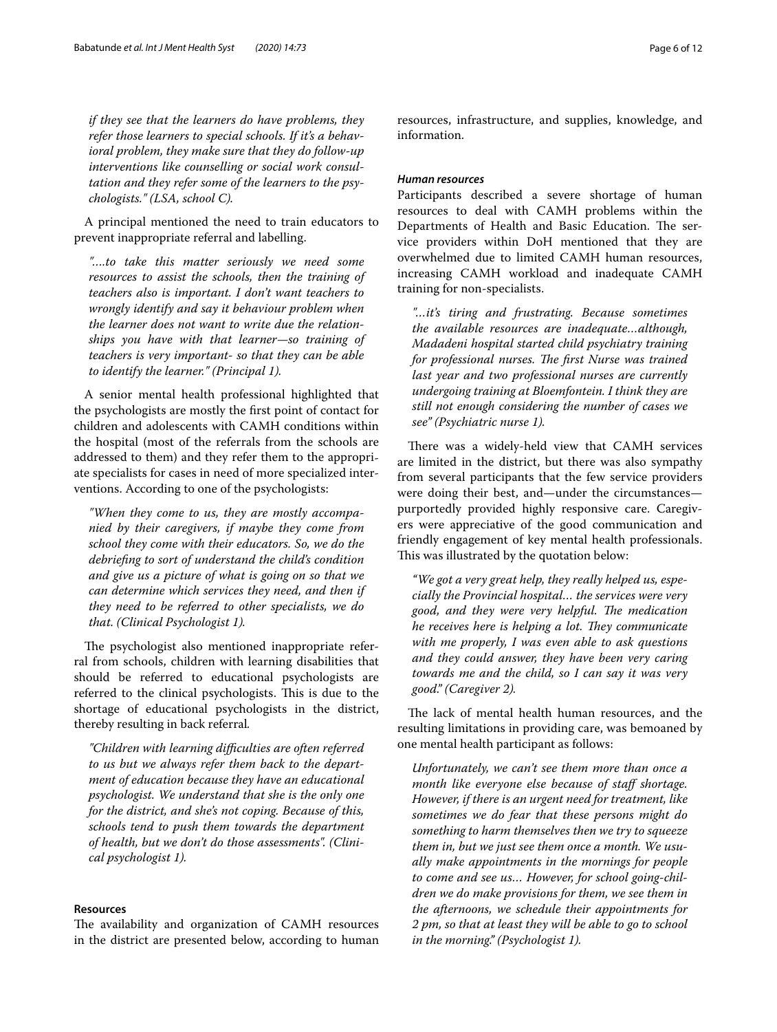*if they see that the learners do have problems, they refer those learners to special schools. If it's a behavioral problem, they make sure that they do follow-up interventions like counselling or social work consultation and they refer some of the learners to the psychologists." (LSA, school C).*

A principal mentioned the need to train educators to prevent inappropriate referral and labelling.

*"….to take this matter seriously we need some resources to assist the schools, then the training of teachers also is important. I don't want teachers to wrongly identify and say it behaviour problem when the learner does not want to write due the relationships you have with that learner—so training of teachers is very important- so that they can be able to identify the learner." (Principal 1).*

A senior mental health professional highlighted that the psychologists are mostly the frst point of contact for children and adolescents with CAMH conditions within the hospital (most of the referrals from the schools are addressed to them) and they refer them to the appropriate specialists for cases in need of more specialized interventions. According to one of the psychologists:

*"When they come to us, they are mostly accompanied by their caregivers, if maybe they come from school they come with their educators. So, we do the debriefng to sort of understand the child's condition and give us a picture of what is going on so that we can determine which services they need, and then if they need to be referred to other specialists, we do that. (Clinical Psychologist 1).*

The psychologist also mentioned inappropriate referral from schools, children with learning disabilities that should be referred to educational psychologists are referred to the clinical psychologists. This is due to the shortage of educational psychologists in the district, thereby resulting in back referral*.*

*"Children with learning difculties are often referred to us but we always refer them back to the department of education because they have an educational psychologist. We understand that she is the only one for the district, and she's not coping. Because of this, schools tend to push them towards the department of health, but we don't do those assessments". (Clinical psychologist 1).*

#### <span id="page-5-0"></span>**Resources**

The availability and organization of CAMH resources in the district are presented below, according to human

resources, infrastructure, and supplies, knowledge, and information.

## *Human resources*

Participants described a severe shortage of human resources to deal with CAMH problems within the Departments of Health and Basic Education. The service providers within DoH mentioned that they are overwhelmed due to limited CAMH human resources, increasing CAMH workload and inadequate CAMH training for non-specialists.

*"…it's tiring and frustrating. Because sometimes the available resources are inadequate…although, Madadeni hospital started child psychiatry training for professional nurses. The first Nurse was trained last year and two professional nurses are currently undergoing training at Bloemfontein. I think they are still not enough considering the number of cases we see" (Psychiatric nurse 1).*

There was a widely-held view that CAMH services are limited in the district, but there was also sympathy from several participants that the few service providers were doing their best, and—under the circumstances purportedly provided highly responsive care. Caregivers were appreciative of the good communication and friendly engagement of key mental health professionals. This was illustrated by the quotation below:

*"We got a very great help, they really helped us, especially the Provincial hospital… the services were very*  good, and they were very helpful. The medication *he receives here is helping a lot. They communicate with me properly, I was even able to ask questions and they could answer, they have been very caring towards me and the child, so I can say it was very good." (Caregiver 2).*

The lack of mental health human resources, and the resulting limitations in providing care, was bemoaned by one mental health participant as follows:

*Unfortunately, we can't see them more than once a month like everyone else because of staf shortage. However, if there is an urgent need for treatment, like sometimes we do fear that these persons might do something to harm themselves then we try to squeeze them in, but we just see them once a month. We usually make appointments in the mornings for people to come and see us… However, for school going-children we do make provisions for them, we see them in the afternoons, we schedule their appointments for 2 pm, so that at least they will be able to go to school in the morning." (Psychologist 1).*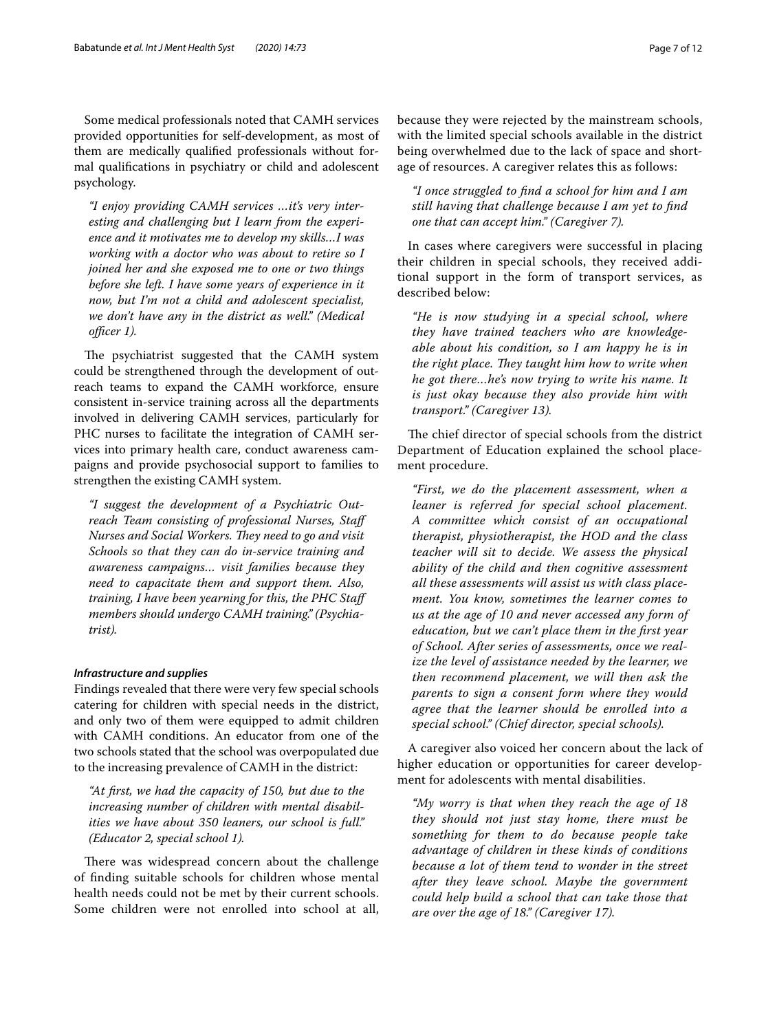Some medical professionals noted that CAMH services provided opportunities for self-development, as most of them are medically qualifed professionals without formal qualifcations in psychiatry or child and adolescent psychology.

*"I enjoy providing CAMH services …it's very interesting and challenging but I learn from the experience and it motivates me to develop my skills…I was working with a doctor who was about to retire so I joined her and she exposed me to one or two things before she left. I have some years of experience in it now, but I'm not a child and adolescent specialist, we don't have any in the district as well." (Medical officer 1).* 

The psychiatrist suggested that the CAMH system could be strengthened through the development of outreach teams to expand the CAMH workforce, ensure consistent in-service training across all the departments involved in delivering CAMH services, particularly for PHC nurses to facilitate the integration of CAMH services into primary health care, conduct awareness campaigns and provide psychosocial support to families to strengthen the existing CAMH system.

*"I suggest the development of a Psychiatric Out*reach Team consisting of professional Nurses, Staff *Nurses and Social Workers. They need to go and visit Schools so that they can do in-service training and awareness campaigns… visit families because they need to capacitate them and support them. Also, training, I have been yearning for this, the PHC Staff members should undergo CAMH training." (Psychiatrist).*

## *Infrastructure and supplies*

Findings revealed that there were very few special schools catering for children with special needs in the district, and only two of them were equipped to admit children with CAMH conditions. An educator from one of the two schools stated that the school was overpopulated due to the increasing prevalence of CAMH in the district:

*"At frst, we had the capacity of 150, but due to the increasing number of children with mental disabilities we have about 350 leaners, our school is full." (Educator 2, special school 1).*

There was widespread concern about the challenge of fnding suitable schools for children whose mental health needs could not be met by their current schools. Some children were not enrolled into school at all, because they were rejected by the mainstream schools, with the limited special schools available in the district being overwhelmed due to the lack of space and shortage of resources. A caregiver relates this as follows:

*"I once struggled to fnd a school for him and I am still having that challenge because I am yet to fnd one that can accept him." (Caregiver 7).*

In cases where caregivers were successful in placing their children in special schools, they received additional support in the form of transport services, as described below:

*"He is now studying in a special school, where they have trained teachers who are knowledgeable about his condition, so I am happy he is in the right place. They taught him how to write when he got there…he's now trying to write his name. It is just okay because they also provide him with transport." (Caregiver 13).*

The chief director of special schools from the district Department of Education explained the school placement procedure.

*"First, we do the placement assessment, when a leaner is referred for special school placement. A committee which consist of an occupational therapist, physiotherapist, the HOD and the class teacher will sit to decide. We assess the physical ability of the child and then cognitive assessment all these assessments will assist us with class placement. You know, sometimes the learner comes to us at the age of 10 and never accessed any form of education, but we can't place them in the frst year of School. After series of assessments, once we realize the level of assistance needed by the learner, we then recommend placement, we will then ask the parents to sign a consent form where they would agree that the learner should be enrolled into a special school." (Chief director, special schools).*

A caregiver also voiced her concern about the lack of higher education or opportunities for career development for adolescents with mental disabilities.

*"My worry is that when they reach the age of 18 they should not just stay home, there must be something for them to do because people take advantage of children in these kinds of conditions because a lot of them tend to wonder in the street after they leave school. Maybe the government could help build a school that can take those that are over the age of 18." (Caregiver 17).*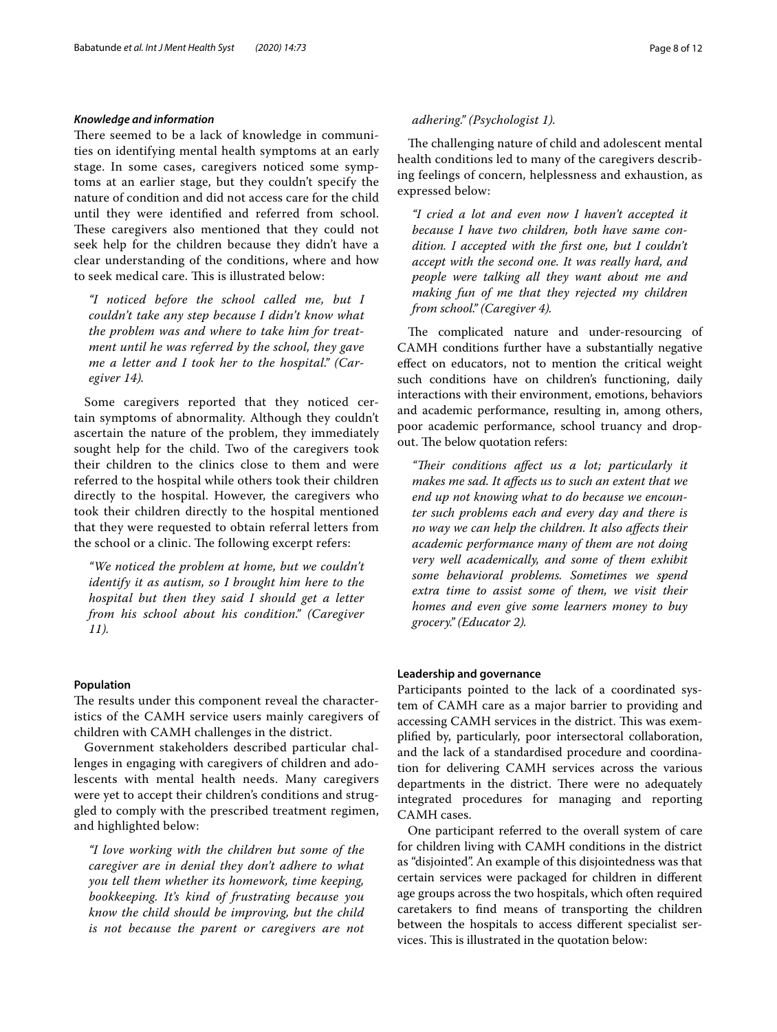#### *Knowledge and information*

There seemed to be a lack of knowledge in communities on identifying mental health symptoms at an early stage. In some cases, caregivers noticed some symptoms at an earlier stage, but they couldn't specify the nature of condition and did not access care for the child until they were identifed and referred from school. These caregivers also mentioned that they could not seek help for the children because they didn't have a clear understanding of the conditions, where and how to seek medical care. This is illustrated below:

*"I noticed before the school called me, but I couldn't take any step because I didn't know what the problem was and where to take him for treatment until he was referred by the school, they gave me a letter and I took her to the hospital." (Caregiver 14).*

Some caregivers reported that they noticed certain symptoms of abnormality. Although they couldn't ascertain the nature of the problem, they immediately sought help for the child. Two of the caregivers took their children to the clinics close to them and were referred to the hospital while others took their children directly to the hospital. However, the caregivers who took their children directly to the hospital mentioned that they were requested to obtain referral letters from the school or a clinic. The following excerpt refers:

*"We noticed the problem at home, but we couldn't identify it as autism, so I brought him here to the hospital but then they said I should get a letter from his school about his condition." (Caregiver 11).*

#### **Population**

The results under this component reveal the characteristics of the CAMH service users mainly caregivers of children with CAMH challenges in the district.

Government stakeholders described particular challenges in engaging with caregivers of children and adolescents with mental health needs. Many caregivers were yet to accept their children's conditions and struggled to comply with the prescribed treatment regimen, and highlighted below:

*"I love working with the children but some of the caregiver are in denial they don't adhere to what you tell them whether its homework, time keeping, bookkeeping. It's kind of frustrating because you know the child should be improving, but the child is not because the parent or caregivers are not* 

## *adhering." (Psychologist 1).*

The challenging nature of child and adolescent mental health conditions led to many of the caregivers describing feelings of concern, helplessness and exhaustion, as expressed below:

*"I cried a lot and even now I haven't accepted it because I have two children, both have same condition. I accepted with the frst one, but I couldn't accept with the second one. It was really hard, and people were talking all they want about me and making fun of me that they rejected my children from school." (Caregiver 4).*

The complicated nature and under-resourcing of CAMH conditions further have a substantially negative efect on educators, not to mention the critical weight such conditions have on children's functioning, daily interactions with their environment, emotions, behaviors and academic performance, resulting in, among others, poor academic performance, school truancy and dropout. The below quotation refers:

"Their conditions affect us a lot; particularly it *makes me sad. It afects us to such an extent that we end up not knowing what to do because we encounter such problems each and every day and there is no way we can help the children. It also afects their academic performance many of them are not doing very well academically, and some of them exhibit some behavioral problems. Sometimes we spend extra time to assist some of them, we visit their homes and even give some learners money to buy grocery." (Educator 2).*

## **Leadership and governance**

Participants pointed to the lack of a coordinated system of CAMH care as a major barrier to providing and accessing CAMH services in the district. This was exemplifed by, particularly, poor intersectoral collaboration, and the lack of a standardised procedure and coordination for delivering CAMH services across the various departments in the district. There were no adequately integrated procedures for managing and reporting CAMH cases.

One participant referred to the overall system of care for children living with CAMH conditions in the district as "disjointed". An example of this disjointedness was that certain services were packaged for children in diferent age groups across the two hospitals, which often required caretakers to fnd means of transporting the children between the hospitals to access diferent specialist services. This is illustrated in the quotation below: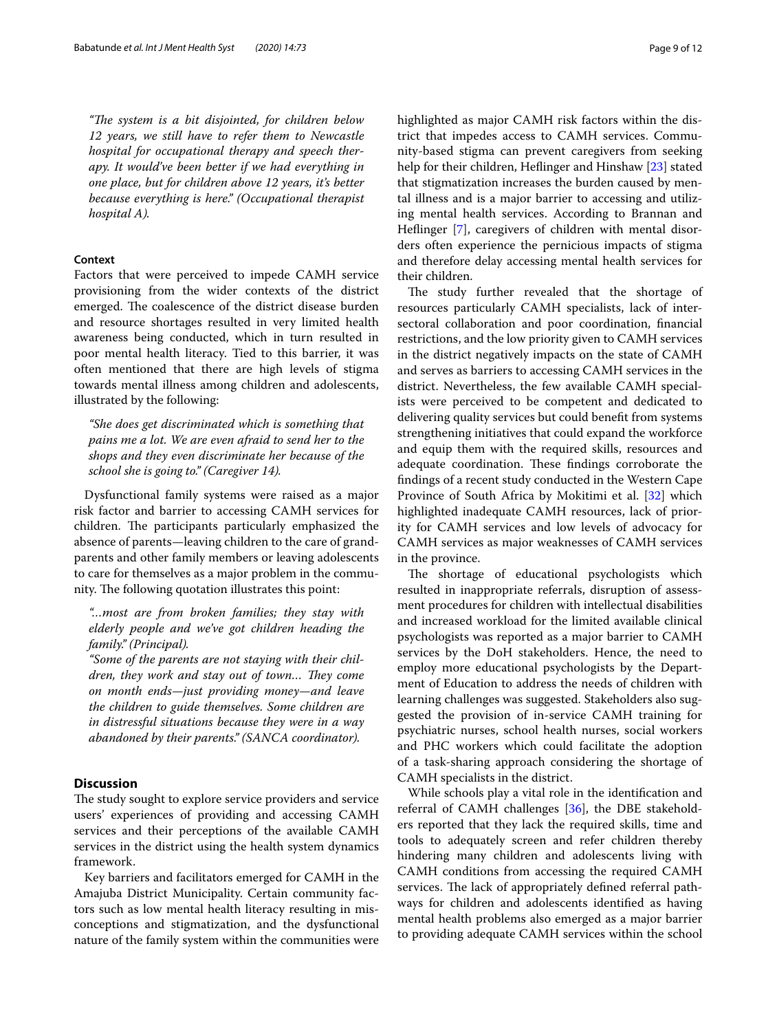"The system is a bit disjointed, for children below *12 years, we still have to refer them to Newcastle hospital for occupational therapy and speech therapy. It would've been better if we had everything in one place, but for children above 12 years, it's better because everything is here." (Occupational therapist hospital A).*

## **Context**

Factors that were perceived to impede CAMH service provisioning from the wider contexts of the district emerged. The coalescence of the district disease burden and resource shortages resulted in very limited health awareness being conducted, which in turn resulted in poor mental health literacy. Tied to this barrier, it was often mentioned that there are high levels of stigma towards mental illness among children and adolescents, illustrated by the following:

*"She does get discriminated which is something that pains me a lot. We are even afraid to send her to the shops and they even discriminate her because of the school she is going to." (Caregiver 14).*

Dysfunctional family systems were raised as a major risk factor and barrier to accessing CAMH services for children. The participants particularly emphasized the absence of parents—leaving children to the care of grandparents and other family members or leaving adolescents to care for themselves as a major problem in the community. The following quotation illustrates this point:

*"…most are from broken families; they stay with elderly people and we've got children heading the family." (Principal).*

*"Some of the parents are not staying with their chil*dren, they work and stay out of town... They come *on month ends—just providing money—and leave the children to guide themselves. Some children are in distressful situations because they were in a way abandoned by their parents." (SANCA coordinator).*

## **Discussion**

The study sought to explore service providers and service users' experiences of providing and accessing CAMH services and their perceptions of the available CAMH services in the district using the health system dynamics framework.

Key barriers and facilitators emerged for CAMH in the Amajuba District Municipality. Certain community factors such as low mental health literacy resulting in misconceptions and stigmatization, and the dysfunctional nature of the family system within the communities were highlighted as major CAMH risk factors within the district that impedes access to CAMH services. Community-based stigma can prevent caregivers from seeking help for their children, Hefinger and Hinshaw [[23\]](#page-11-32) stated that stigmatization increases the burden caused by mental illness and is a major barrier to accessing and utilizing mental health services. According to Brannan and Hefinger [\[7](#page-11-33)], caregivers of children with mental disorders often experience the pernicious impacts of stigma and therefore delay accessing mental health services for their children.

The study further revealed that the shortage of resources particularly CAMH specialists, lack of intersectoral collaboration and poor coordination, fnancial restrictions, and the low priority given to CAMH services in the district negatively impacts on the state of CAMH and serves as barriers to accessing CAMH services in the district. Nevertheless, the few available CAMH specialists were perceived to be competent and dedicated to delivering quality services but could beneft from systems strengthening initiatives that could expand the workforce and equip them with the required skills, resources and adequate coordination. These findings corroborate the fndings of a recent study conducted in the Western Cape Province of South Africa by Mokitimi et al. [[32\]](#page-11-34) which highlighted inadequate CAMH resources, lack of priority for CAMH services and low levels of advocacy for CAMH services as major weaknesses of CAMH services in the province.

The shortage of educational psychologists which resulted in inappropriate referrals, disruption of assessment procedures for children with intellectual disabilities and increased workload for the limited available clinical psychologists was reported as a major barrier to CAMH services by the DoH stakeholders. Hence, the need to employ more educational psychologists by the Department of Education to address the needs of children with learning challenges was suggested. Stakeholders also suggested the provision of in-service CAMH training for psychiatric nurses, school health nurses, social workers and PHC workers which could facilitate the adoption of a task-sharing approach considering the shortage of CAMH specialists in the district.

While schools play a vital role in the identifcation and referral of CAMH challenges [\[36\]](#page-11-35), the DBE stakeholders reported that they lack the required skills, time and tools to adequately screen and refer children thereby hindering many children and adolescents living with CAMH conditions from accessing the required CAMH services. The lack of appropriately defined referral pathways for children and adolescents identifed as having mental health problems also emerged as a major barrier to providing adequate CAMH services within the school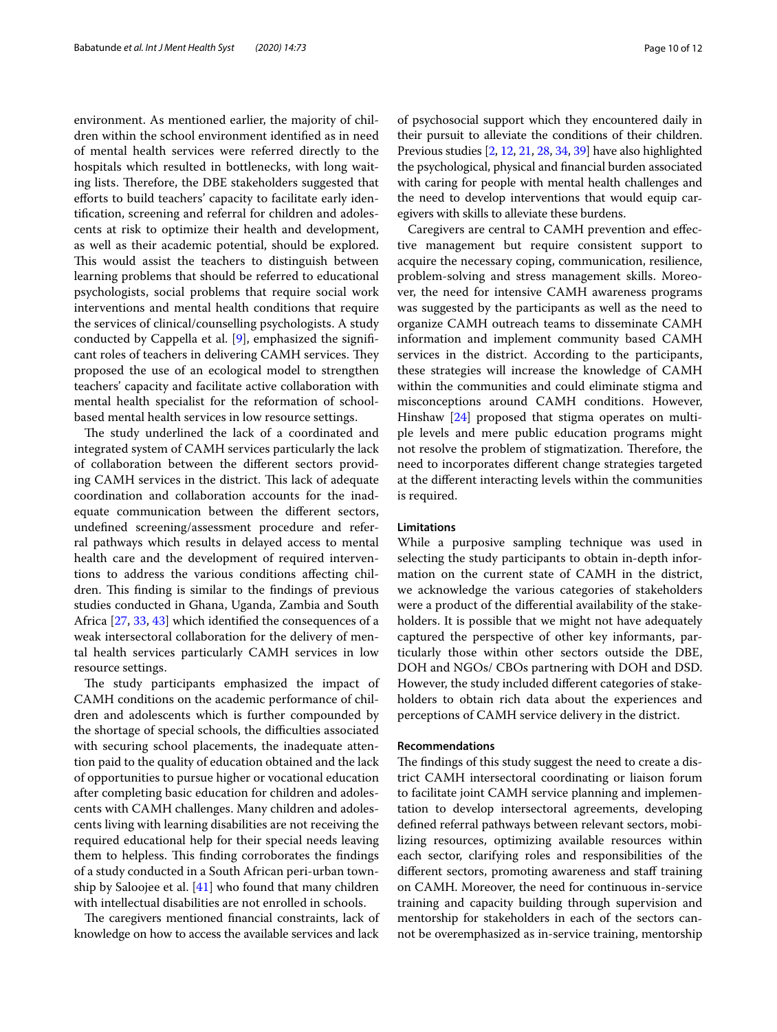environment. As mentioned earlier, the majority of children within the school environment identifed as in need of mental health services were referred directly to the hospitals which resulted in bottlenecks, with long waiting lists. Therefore, the DBE stakeholders suggested that eforts to build teachers' capacity to facilitate early identifcation, screening and referral for children and adolescents at risk to optimize their health and development, as well as their academic potential, should be explored. This would assist the teachers to distinguish between learning problems that should be referred to educational psychologists, social problems that require social work interventions and mental health conditions that require the services of clinical/counselling psychologists. A study conducted by Cappella et al. [[9\]](#page-11-36), emphasized the signifcant roles of teachers in delivering CAMH services. They proposed the use of an ecological model to strengthen teachers' capacity and facilitate active collaboration with mental health specialist for the reformation of schoolbased mental health services in low resource settings.

The study underlined the lack of a coordinated and integrated system of CAMH services particularly the lack of collaboration between the diferent sectors providing CAMH services in the district. This lack of adequate coordination and collaboration accounts for the inadequate communication between the diferent sectors, undefned screening/assessment procedure and referral pathways which results in delayed access to mental health care and the development of required interventions to address the various conditions afecting children. This finding is similar to the findings of previous studies conducted in Ghana, Uganda, Zambia and South Africa [[27,](#page-11-12) [33](#page-11-13), [43\]](#page-11-37) which identifed the consequences of a weak intersectoral collaboration for the delivery of mental health services particularly CAMH services in low resource settings.

The study participants emphasized the impact of CAMH conditions on the academic performance of children and adolescents which is further compounded by the shortage of special schools, the difficulties associated with securing school placements, the inadequate attention paid to the quality of education obtained and the lack of opportunities to pursue higher or vocational education after completing basic education for children and adolescents with CAMH challenges. Many children and adolescents living with learning disabilities are not receiving the required educational help for their special needs leaving them to helpless. This finding corroborates the findings of a study conducted in a South African peri-urban township by Saloojee et al. [[41](#page-11-38)] who found that many children with intellectual disabilities are not enrolled in schools.

The caregivers mentioned financial constraints, lack of knowledge on how to access the available services and lack of psychosocial support which they encountered daily in their pursuit to alleviate the conditions of their children. Previous studies [[2,](#page-10-4) [12,](#page-11-39) [21,](#page-11-40) [28](#page-11-41), [34](#page-11-42), [39](#page-11-43)] have also highlighted the psychological, physical and fnancial burden associated with caring for people with mental health challenges and the need to develop interventions that would equip caregivers with skills to alleviate these burdens.

Caregivers are central to CAMH prevention and efective management but require consistent support to acquire the necessary coping, communication, resilience, problem-solving and stress management skills. Moreover, the need for intensive CAMH awareness programs was suggested by the participants as well as the need to organize CAMH outreach teams to disseminate CAMH information and implement community based CAMH services in the district. According to the participants, these strategies will increase the knowledge of CAMH within the communities and could eliminate stigma and misconceptions around CAMH conditions. However, Hinshaw [\[24\]](#page-11-44) proposed that stigma operates on multiple levels and mere public education programs might not resolve the problem of stigmatization. Therefore, the need to incorporates diferent change strategies targeted at the diferent interacting levels within the communities is required.

## **Limitations**

While a purposive sampling technique was used in selecting the study participants to obtain in-depth information on the current state of CAMH in the district, we acknowledge the various categories of stakeholders were a product of the diferential availability of the stakeholders. It is possible that we might not have adequately captured the perspective of other key informants, particularly those within other sectors outside the DBE, DOH and NGOs/ CBOs partnering with DOH and DSD. However, the study included diferent categories of stakeholders to obtain rich data about the experiences and perceptions of CAMH service delivery in the district.

## **Recommendations**

The findings of this study suggest the need to create a district CAMH intersectoral coordinating or liaison forum to facilitate joint CAMH service planning and implementation to develop intersectoral agreements, developing defned referral pathways between relevant sectors, mobilizing resources, optimizing available resources within each sector, clarifying roles and responsibilities of the different sectors, promoting awareness and staff training on CAMH. Moreover, the need for continuous in-service training and capacity building through supervision and mentorship for stakeholders in each of the sectors cannot be overemphasized as in-service training, mentorship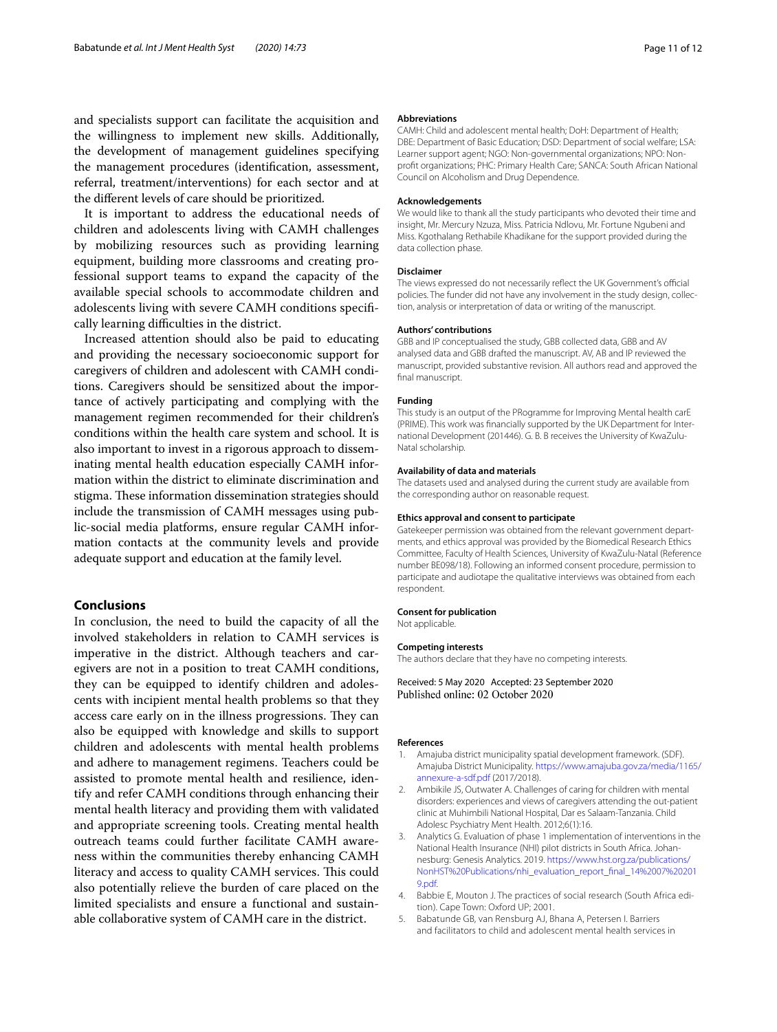and specialists support can facilitate the acquisition and the willingness to implement new skills. Additionally, the development of management guidelines specifying the management procedures (identifcation, assessment, referral, treatment/interventions) for each sector and at the diferent levels of care should be prioritized.

It is important to address the educational needs of children and adolescents living with CAMH challenges by mobilizing resources such as providing learning equipment, building more classrooms and creating professional support teams to expand the capacity of the available special schools to accommodate children and adolescents living with severe CAMH conditions specifcally learning difficulties in the district.

Increased attention should also be paid to educating and providing the necessary socioeconomic support for caregivers of children and adolescent with CAMH conditions. Caregivers should be sensitized about the importance of actively participating and complying with the management regimen recommended for their children's conditions within the health care system and school. It is also important to invest in a rigorous approach to disseminating mental health education especially CAMH information within the district to eliminate discrimination and stigma. These information dissemination strategies should include the transmission of CAMH messages using public-social media platforms, ensure regular CAMH information contacts at the community levels and provide adequate support and education at the family level.

#### **Conclusions**

In conclusion, the need to build the capacity of all the involved stakeholders in relation to CAMH services is imperative in the district. Although teachers and caregivers are not in a position to treat CAMH conditions, they can be equipped to identify children and adolescents with incipient mental health problems so that they access care early on in the illness progressions. They can also be equipped with knowledge and skills to support children and adolescents with mental health problems and adhere to management regimens. Teachers could be assisted to promote mental health and resilience, identify and refer CAMH conditions through enhancing their mental health literacy and providing them with validated and appropriate screening tools. Creating mental health outreach teams could further facilitate CAMH awareness within the communities thereby enhancing CAMH literacy and access to quality CAMH services. This could also potentially relieve the burden of care placed on the limited specialists and ensure a functional and sustainable collaborative system of CAMH care in the district.

#### **Abbreviations**

CAMH: Child and adolescent mental health; DoH: Department of Health; DBE: Department of Basic Education; DSD: Department of social welfare; LSA: Learner support agent; NGO: Non-governmental organizations; NPO: Nonproft organizations; PHC: Primary Health Care; SANCA: South African National Council on Alcoholism and Drug Dependence.

#### **Acknowledgements**

We would like to thank all the study participants who devoted their time and insight, Mr. Mercury Nzuza, Miss. Patricia Ndlovu, Mr. Fortune Ngubeni and Miss. Kgothalang Rethabile Khadikane for the support provided during the data collection phase.

#### **Disclaimer**

The views expressed do not necessarily reflect the UK Government's official policies. The funder did not have any involvement in the study design, collection, analysis or interpretation of data or writing of the manuscript.

#### **Authors' contributions**

GBB and IP conceptualised the study, GBB collected data, GBB and AV analysed data and GBB drafted the manuscript. AV, AB and IP reviewed the manuscript, provided substantive revision. All authors read and approved the final manuscript.

#### **Funding**

This study is an output of the PRogramme for Improving Mental health carE (PRIME). This work was fnancially supported by the UK Department for International Development (201446). G. B. B receives the University of KwaZulu-Natal scholarship.

#### **Availability of data and materials**

The datasets used and analysed during the current study are available from the corresponding author on reasonable request.

#### **Ethics approval and consent to participate**

Gatekeeper permission was obtained from the relevant government departments, and ethics approval was provided by the Biomedical Research Ethics Committee, Faculty of Health Sciences, University of KwaZulu-Natal (Reference number BE098/18). Following an informed consent procedure, permission to participate and audiotape the qualitative interviews was obtained from each respondent.

#### **Consent for publication**

Not applicable.

#### **Competing interests**

The authors declare that they have no competing interests.

Received: 5 May 2020 Accepted: 23 September 2020 Published online: 02 October 2020

#### **References**

- <span id="page-10-0"></span>1. Amajuba district municipality spatial development framework. (SDF). Amajuba District Municipality. [https://www.amajuba.gov.za/media/1165/](https://www.amajuba.gov.za/media/1165/annexure-a-sdf.pdf) [annexure-a-sdf.pdf](https://www.amajuba.gov.za/media/1165/annexure-a-sdf.pdf) (2017/2018).
- <span id="page-10-4"></span>2. Ambikile JS, Outwater A. Challenges of caring for children with mental disorders: experiences and views of caregivers attending the out-patient clinic at Muhimbili National Hospital, Dar es Salaam-Tanzania. Child Adolesc Psychiatry Ment Health. 2012;6(1):16.
- <span id="page-10-1"></span>3. Analytics G. Evaluation of phase 1 implementation of interventions in the National Health Insurance (NHI) pilot districts in South Africa. Johannesburg: Genesis Analytics. 2019. [https://www.hst.org.za/publications/](https://www.hst.org.za/publications/NonHST%20Publications/nhi_evaluation_report_final_14%2007%202019.pdf) [NonHST%20Publications/nhi\\_evaluation\\_report\\_fnal\\_14%2007%20201](https://www.hst.org.za/publications/NonHST%20Publications/nhi_evaluation_report_final_14%2007%202019.pdf) [9.pdf.](https://www.hst.org.za/publications/NonHST%20Publications/nhi_evaluation_report_final_14%2007%202019.pdf)
- <span id="page-10-2"></span>4. Babbie E, Mouton J. The practices of social research (South Africa edition). Cape Town: Oxford UP; 2001.
- <span id="page-10-3"></span>5. Babatunde GB, van Rensburg AJ, Bhana A, Petersen I. Barriers and facilitators to child and adolescent mental health services in